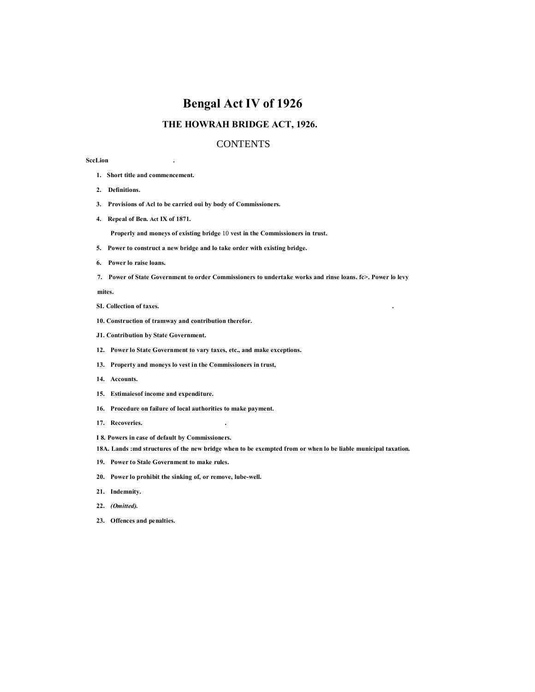# **Bengal Act IV of 1926**

# **THE HOWRAH BRIDGE ACT, 1926.**

# **CONTENTS**

# **SccLion .**

- **1. Short title and commencement.**
- **2. Definitions.**
- **3. Provisions of Acl to be carricd oui by body of Commissioners.**
- **4. Repeal of Ben. Act IX of 1871.**

**Properly and moneys of existing bridge** 10 **vest in the Commissioners in trust.**

- **5. Power to construct a new bridge and lo take order with existing bridge.**
- **6. Power lo raise loans.**
- **7. Power of State Government to order Commissioners to undertake works and rinse loans. fc>. Power lo levy**

**mites.**

- **SI. Collection of taxes. .**
- **10. Construction of tramway and contribution therefor.**
- **J1. Contribution by State Government.**
- **12. Power lo State Government to vary taxes, etc., and make exceptions.**
- **13. Property and moneys lo vest in the Commissioners in trust,**
- **14. Accounts.**
- **15. Estimaiesof income and expenditure.**
- **16. Procedure on failure of local authorities to make payment.**
- **17. Recoveries. .**
- **I 8. Powers in case of default by Commissioners.**
- **18A. Lands :md structures of the new bridge when to be exempted from or when lo be liable municipal taxation.**
- **19. Power to Stale Government to make rules.**
- **20. Power lo prohibit the sinking of, or remove, lube-well.**
- **21. Indemnity.**
- **22.** *(Omitted).*
- **23. Offences and penalties.**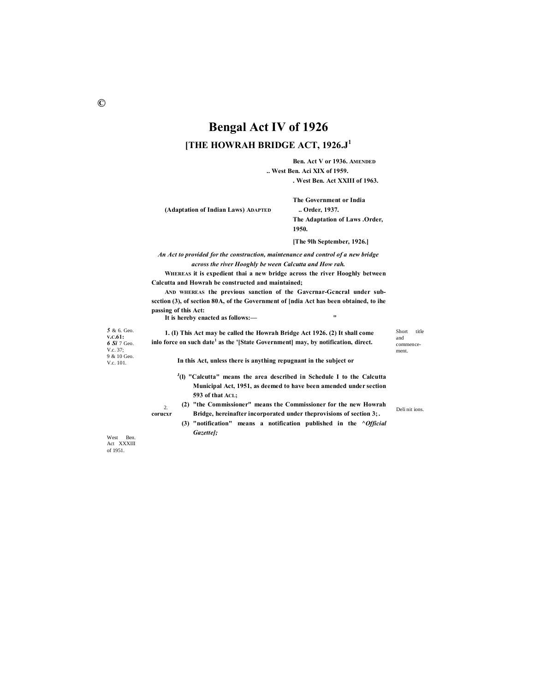# **Bengal Act IV of 1926 [THE HOWRAH BRIDGE ACT, 1926.J<sup>1</sup>**

**Ben. Act V or 1936. AMENDED .. West Ben. Aci XIX of 1959.**

**. West Ben. Act XXIII of 1963.**

**(Adaptation of Indian Laws) ADAPTED .. Order, 1937.**

**The Government or India The Adaptation of Laws .Order, 1950.**

**[The 9lh September, 1926.]**

*An Act to provided for the construction, maintenance and control of a new bridge across the river Hooghly be ween Calcutta and How rah.*

**WHEREAS it is expedient thai a new bridge across the river Hooghly between Calcutta and Howrah be constructed and maintained;**

**AND WHEREAS the previous sanction of the Gavcrnar-Gcncral under subscction (3), of section 80A, of the Government of [ndia Act has been obtained, to ihe passing of this Act: It is hereby enacted as follows:— "**

*5* & 6. Geo. **V.C.61:** *6 Si* 7 Geo. V.c. 37; 9 & 10 Geo. V.c. 101.

**1. (I) This Act may be called the Howrah Bridge Act 1926. (2) It shall come inlo force on such date<sup>1</sup> as the '[State Government] may, by notification, direct.**

**In this Act, unless there is anything repugnant in the subject or**

- **J (l) "Calcutta" means the area described in Schedule I to the Calcutta Municipal Act, 1951, as deemed to have been amended under section 593 of that ACL;**
- **corucxr bridge, hereinafter incorporated under theprovisions of section 3;.** Delimitions. **(2) "the Commissioner" means the Commissioner for the new Howrah** 
	- **(3) "notification" means a notification published in the** *^Official Gazette];*

West Ben. Act XXXIII of 1951.

 $\gamma$ 

Short title and commencement.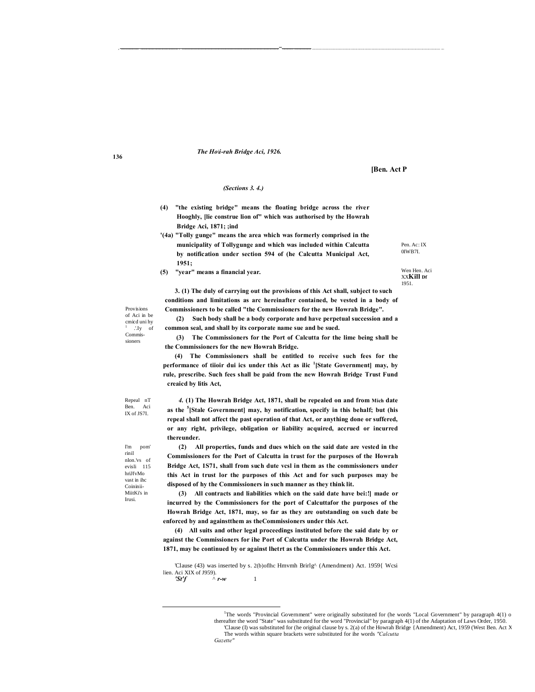#### The Hoii-rah Bridge Aci, 1926.

[Ben. Act P

#### (Sections 3, 4,)

- (4) "the existing bridge" means the floating bridge across the river Hooghly, [lie construe lion of" which was authorised by the Howrah Bridge Aci, 1871; ;ind
- '(4a) "Tolly gunge" means the area which was formerly comprised in the municipality of Tollygunge and which was included within Calcutta by notification under section 594 of (he Calcutta Municipal Act,  $1951:$
- $(5)$ "year" means a financial year.

Pen. Ac: IX OIWB7I. Wen Hen. Aci

**XXKill Df** 1951.

Provisions of Aci in be  $c$ micd uni hy  $'$ . Iv of Commissioners

(2) Such body shall be a body corporate and have perpetual succession and a common seal, and shall by its corporate name sue and be sued.

3. (1) The duly of carrying out the provisions of this Act shall, subject to such conditions and limitations as arc hereinafter contained, be vested in a body of

Commissioners to be called "the Commissioners for the new Howrah Bridge".

(3) The Commissioners for the Port of Calcutta for the lime being shall be the Commissioners for the new Howrah Bridge.

(4) The Commissioners shall be entitled to receive such fees for the performance of tiioir dui ics under this Act as ilic <sup>1</sup>[State Government] may, by rule, prescribe. Such fees shall be paid from the new Howrah Bridge Trust Fund creaicd by litis Act.

Repeal nT Ben. Aci IX of JS7I.

4. (1) The Howrah Bridge Act, 1871, shall be repealed on and from Mich date as the <sup>5</sup>[Stale Government] may, hy notification, specify in this behalf; but (his repeal shall not affect the past operation of that Act, or anything done or suffered, or any right, privilege, obligation or liability acquired, accrued or incurred thereunder.

All properties, funds and dues which on the said date are vested in the  $(2)$ Commissioners for the Port of Calcutta in trust for the purposes of the Howrah Bridge Act, 1S71, shall from such dute vcsl in them as the commissioners under this Act in trust lor the purposes of this Act and for such purposes may be disposed of hy the Commissioners in such manner as they think lit.

(3) All contracts and liabilities which on the said date have bei:!] made or incurred by the Commissioners for the port of Calcuttafor the purposes of the Howrah Bridge Act, 1871, may, so far as they are outstanding on such date be enforced by and againstthem as the Commissioners under this Act.

(4) All suits and other legal proceedings instituted before the said date by or against the Commissioners for ihe Port of Calcutta under the Howrah Bridge Act, 1871, may be continued by or against lhetrt as the Commissioners under this Act.

 $P_{\rm m}$ pom rinil nlon vs of evisli 115 hriJfvMo vast in ihc Coininii-MiitKi's in

**Irusi** 

136

<sup>&#</sup>x27;Clause (43) was inserted by s. 2(b)oflhc Hmvmh Brirlg^ (Amendment) Act. 1959{ Wcsi lien. Aci XIX of 1959).

 $'St'f$ 

<sup>&</sup>lt;sup>1</sup>The words "Provincial Government" were originally substituted for (he words "Local Government" by paragraph 4(1) o thereafter the word "State" was substituted for the word "Provincial" by paragraph 4(1) of the Adaptation of Laws Order, 1950. Clause (I) was substituted for (he original clause by s. 2(a) of the Howrah Bridge {Amendment) Act, 1959 (West Ben. Act X The words within square brackets were substituted for ihe words "Calcutta Gazette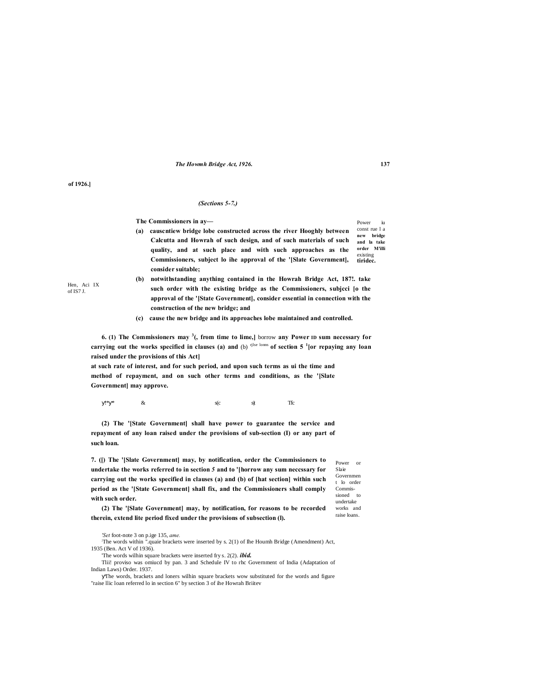### The Howmh Bridge Act, 1926.

of 1926.]

Hen. Aci IX

of IS7 J.

#### (Sections 5-7.)

The Commissioners in ay-

- const rue 1 a (a) causcntiew bridge lobe constructed across the river Hooghly between new bridge Calcutta and Howrah of such design, and of such materials of such and la take order M'illi quality, and at such place and with such approaches as the existins Commissioners, subject lo ihe approval of the '[Slate Government], tiridec. consider suitable;
- (b) notwithstanding anything contained in the Howrah Bridge Act, 187!. take such order with the existing bridge as the Commissioners, subjeci [o the approval of the '[State Government], consider essential in connection with the construction of the new bridge; and
- (c) cause the new bridge and its approaches lobe maintained and controlled.

6. (1) The Commissioners may  $3$ , from time to lime, borrow any Power ID sum necessary for carrying out the works specified in clauses (a) and (b)  $^{q}$  jse loms of section 5  $^{1}$  [or repaying any loan raised under the provisions of this Act]

at such rate of interest, and for such period, and upon such terms as ui the time and method of repayment, and on such other terms and conditions, as the '[Slate Government] may approve.

 $|**|$  $\mathcal{R}$  $s(c)$  $s|t$ **Tfc** 

(2) The '[State Government] shall have power to guarantee the service and repayment of any loan raised under the provisions of sub-section (I) or any part of such loan.

7. ([) The '[Slate Government] may, by notification, order the Commissioners to undertake the works referred to in section 5 and to '[horrow any sum neccssary for carrying out the works specified in clauses (a) and (b) of [hat section] within such period as the '[State Government] shall fix, and the Commissioners shall comply with such order.

Power  $\overline{\text{or}}$ Slaie Governmen t lo order  $Commis$ sioned to undertake works and raise loans.

(2) The '[Slate Government] may, by notification, for reasons to be recorded therein, extend lite period fixed under the provisions of subsection (I).

 $\dot{m}$ 

Power

137

<sup>&#</sup>x27;Set foot-note 3 on p.ige 135, ame.

The words within ".quaie brackets were inserted by s. 2(1) of Ihe Houmh Bridge (Amendment) Act, 1935 (Ben. Act V of 1936).

The words wilhin square brackets were inserted fry s. 2(2). ibid.

Tlii! proviso was omiucd by pan. 3 and Schedule IV to rhc Government of India (Adaptation of Indian Laws) Order, 1937.

The words, brackets and loners wilhin square brackets wow substituted for the words and figure "raise Ilic loan referred lo in section 6" by section 3 of the Howrah Brittev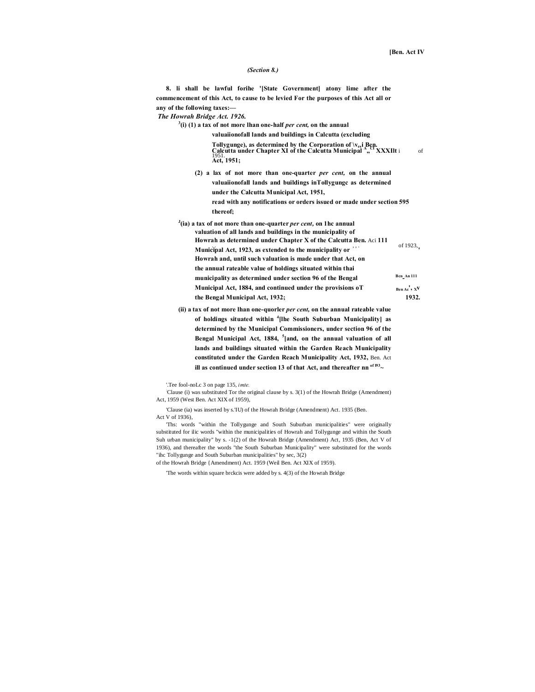#### *(Section 8.)*

**8. li shall be lawful forihe '[State Government] atony lime after the commencement of this Act, to cause to be levied For the purposes of this Act all or any of the following taxes:—**

*The Howrah Bridge Act. 1926.*

**3 (i) (1) a tax of not more lhan one-half** *per cent,* **on the annual**

**valuaiionofall lands and buildings in Calcutta (excluding**

**Tollygunge), as determined by the Corporation of \vesi Ben. Calcutta under Chapter XI of the Calcutta Municipal <sup>A</sup> "CI XXXIlt** i of 1951. **Act, 1951;**

- **(2) a lax of not more than one-quarter** *per cent,* **on the annual valuaiionofall lands and buildings inTollygungc as determined under the Calcutta Municipal Act, 1951, read with any notifications or orders issued or made under section 595 thereof;**
- **J (ia) a tax of not more than one-quarter** *per cent,* **on 1hc annual valuation of all lands and buildings in the municipality of Howrah as determined under Chapter X of the Calcutta Ben.** Aci 111 of 1923, **Municipal Act, 1923**, as extended to the municipality or  $\cdot$ <sup>'</sup> **Howrah and, until such valuation is made under that Act, on the annual rateable value of holdings situated within thai** municipality as determined under section 96 of the Bengal **An 111 Municipal Act, 1884, and continued under the provisions oT Ben Ac**<sup>†</sup>, XV</sup> **the Bengal Municipal Act, 1932; 1932.**
- **(ii) a tax of not more lhan one-quorler** *per cent,* **on the annual rateable value of holdings situated within <sup>4</sup> [lhe South Suburban Municipality] as determined by the Municipal Commissioners, under section 96 of the Bengal Municipal Act, 1884, <sup>5</sup> [and, on the annual valuation of all lands and buildings situated within the Garden Reach Municipality constituted under the Garden Reach Municipality Act, 1932,** Ben. Act **ill as continued under section 13 of that Act, and thereafter nn**  $\frac{of 193}{ }$

'.Tee fool-noLc 3 on page 135, *imte.*

: Clause (i) was substituted Tor the original clause by s. 3(1) of the Howrah Bridge (Amendment) Act, 1959 (West Ben. Act XIX of 1959),

'Clause (ia) was inserted by s.'IU) of the Howrah Bridge (Amendment) Act. 1935 (Ben. Act V of 1936),

'Ths: words "within the Tollygunge and South Suburban municipalities" were originally substituted for ilic words "within the municipalities of Howrah and Tollygunge and within the South Suh urban municipality" by s. -1(2) of the Howrah Bridge (Amendment) Act, 1935 (Ben, Act V of 1936), and thereafter the words "the South Suburban Municipality" were substituted for the words "ihc Tollygunge and South Suburban municipalities" by sec, 3(2)

of the Howrah Bridge {Amendment) Act. 1959 (Weil Ben. Act XIX of 1959).

'The words within square brckcis were added by s. 4(3) of the Howrah Bridge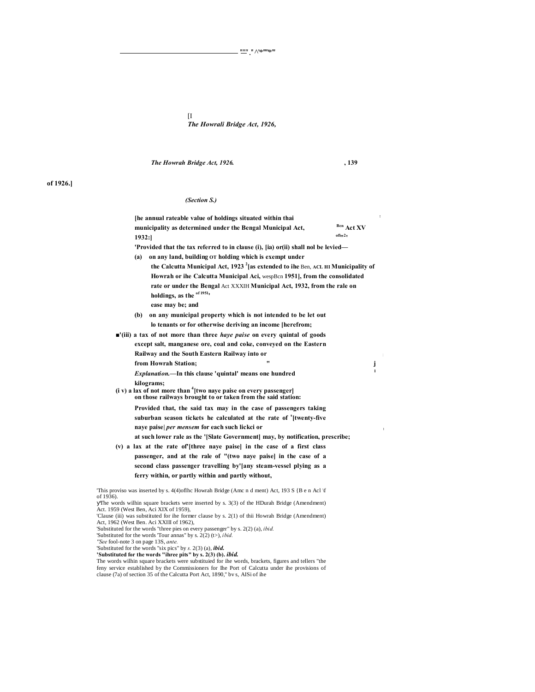[I *The Howrali Bridge Act, 1926,*

*The Howrah Bridge Act, 1926.* **, 139**

# **of 1926.]**

# *(Section S.)*

|           | [he annual rateable value of holdings situated within thai                                                                                               | $\ddot{\phantom{a}}$ |  |
|-----------|----------------------------------------------------------------------------------------------------------------------------------------------------------|----------------------|--|
|           | municipality as determined under the Bengal Municipal Act,                                                                                               | Ben Act XV           |  |
|           | 1932:                                                                                                                                                    | $of l_{11}21$        |  |
|           | 'Provided that the tax referred to in clause (i), [ia) or(ii) shall nol be levied—                                                                       |                      |  |
|           | on any land, building OT holding which is exempt under<br>(a)                                                                                            |                      |  |
|           | the Calcutta Municipal Act, 1923 <sup>2</sup> [as extended to ihe Ben, ACL HI Municipality of                                                            |                      |  |
|           | Howrah or ihe Calcutta Municipal Aci, wespBcn 1951], from the consolidated                                                                               |                      |  |
|           | rate or under the Bengal Act XXXIH Municipal Act, 1932, from the rale on                                                                                 |                      |  |
|           | holdings, as the $\frac{66}{1951}$ ,                                                                                                                     |                      |  |
|           | ease may be; and                                                                                                                                         |                      |  |
|           | on any municipal property which is not intended to be let out<br>(b)                                                                                     |                      |  |
|           | lo tenants or for otherwise deriving an income [herefrom;                                                                                                |                      |  |
|           | "(iii) a tax of not more than three <i>haye paise</i> on every quintal of goods                                                                          |                      |  |
|           | except salt, manganese ore, coal and coke, conveyed on the Eastern                                                                                       |                      |  |
|           | Railway and the South Eastern Railway into or                                                                                                            |                      |  |
|           | from Howrah Station;                                                                                                                                     | j                    |  |
|           | <i>Explanation</i> .—In this clause 'quintal' means one hundred                                                                                          | $\mathbf{1}$         |  |
|           | kilograms;                                                                                                                                               |                      |  |
|           | $(i \text{ v})$ a lax of not more than $\frac{4}{3}$ [two naye paise on every passenger]<br>on those railways brought to or taken from the said station: |                      |  |
|           | Provided that, the said tax may in the case of passengers taking                                                                                         |                      |  |
|           | suburban season tickets he calculated at the rate of '[twenty-five                                                                                       |                      |  |
|           | naye paise  per mensem for each such lickci or                                                                                                           |                      |  |
|           | at such lower rale as the '[Slate Government] may, by notification, prescribe;                                                                           |                      |  |
|           | (v) a lax at the rate of [three naye paise] in the case of a first class                                                                                 |                      |  |
|           | passenger, and at the rale of "(two naye paise) in the case of a                                                                                         |                      |  |
|           | second class passenger travelling by'[any steam-vessel plying as a                                                                                       |                      |  |
|           | ferry within, or partly within and partly without,                                                                                                       |                      |  |
| of 1936). | This proviso was inserted by s. 4(4) of the Howrah Bridge (Amc n d ment) Act, 193 S {B e n Acl \f                                                        |                      |  |
|           | The words wilhin square brackets were inserted by s. 3(3) of the HDurah Bridge (Amendment)<br>Act. 1959 (West Ben. Aci XIX of 1959).                     |                      |  |

The words wilhin square brackets were inserted by s. 3(3) of the HDurah Bridge (Amendment)<br>Act. 1959 (West Ben, Aci XIX of 1959),<br>Clause (iii) was substituted for ihe former clause by s. 2(1) of thii Howrah Bridge (Amendm

"See fool-note 3 on page 13S, *ante.*<br>"Substituted for the words "six pics" by *s*. 2(3) (a), *ibid.*<br>"Substituted for the words "inree pits" by *s*. 2(3) (b). *ibid.*<br>The words wilhin square brackets were substituted f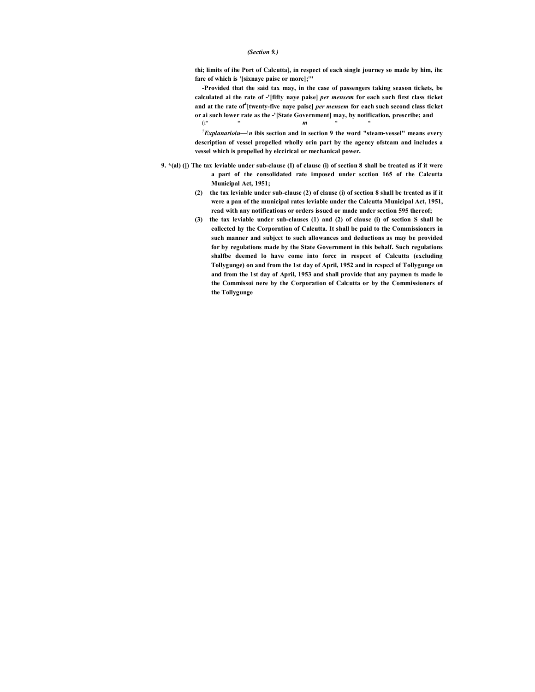## *(Section 9.)*

**thi; limits of ihe Port of Calcutta], in respect of each single journey so made by him, ihc fare of which is '[sixnaye paisc or more];; "**

**-Provided that the said tax may, in the case of passengers taking season tickets, be calculated ai the rate of -'[fifty naye paise]** *per mensem* **for each such first class ticket**  and at the rate of<sup>4</sup> [twenty-five naye paisc] *per mensem* for each such second class ticket **or ai such lower rate as the -'[State Government] may, by notification, prescribe; and** (i\* \* *m* \* \*

 $^7$ *Explanarioiu*— $\ln$  ibis section and in section 9 the word "steam-vessel" means every **description of vessel propelled wholly orin part by the agency ofstcam and includes a vessel which is propelled by elccirical or mechanical power.**

- **9. \*(al) ([) The tax leviable under sub-clause (I) of clausc (i) of section 8 shall be treated as if it were a part of the consolidated rate imposed under scction 165 of the Calcutta Municipal Act, 1951;**
	- **(2) the tax leviable under sub-clause (2) of clause (i) of section 8 shall be treated as if it were a pan of the municipal rates leviable under the Calcutta Municipal Act, 1951, read with any notifications or orders issued or made under section 595 thereof;**
	- **(3) the tax leviable under sub-clauses (1) and (2) of clausc (i) of section S shall be collected hy the Corporation of Calcutta. It shall be paid to the Commissioners in such manner and subjcct to such allowances and deductions as may be provided for by regulations made by the State Government in this behalf. Such regulations shalfbe deemed lo have come into forcc in respcet of Calcutta (excluding Tollygunge) on and from the 1st day of April, 1952 and in rcspccl of Tollygunge on and from the 1st day of April, 1953 and shall provide that any paymen ts made lo the Commissoi nere by the Corporation of Calcutta or by the Commissioners of the Tollygunge**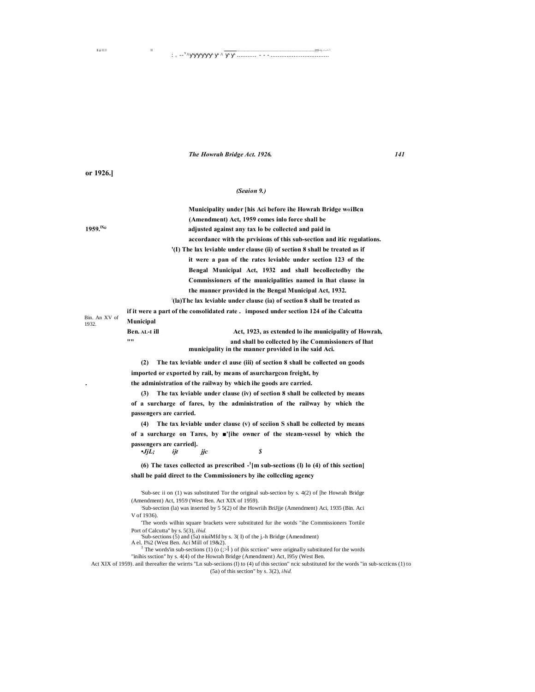## *The Howrah Bridge Act. 1926. 141*

Ill LI III I I III ............................... ......................................................................................................................................................................................................■ ■■-s y .->.--^-' ^

 $\therefore$  =  $-$ <sup>v</sup> $\land$ 

**or 1926.]**

#### *(Seaion 9.)*

^■■■■■■ ^ ........... - - - .................................

**Municipality under [his Aci before ihe Howrah Bridge w«iBcn (Amendment) Act, 1959 comes inlo force shall be 1959.lX° adjusted against any tax lo be collected and paid in accordancc with the prvisions of this sub-section and itic regulations. '(I) The lax leviable under clause (ii) of section 8 shall be treated as if it were a pan of the rates leviable under section 123 of the Bengal Municipal Act, 1932 and shall becollectedby the Commissioners of the municipalities named in lhat clause in the manner provided in the Bengal Municipal Act, 1932. : (la)Thc lax leviable under clause (ia) of section 8 shall be treated as if it were a part of the consolidated rate . imposed under section 124 of ihe Calcutta Municipal**

Bin. An XV of

1932.

**Ben. AL-I ill Act, 1923, as extended lo ihe municipality of Howrah, "" and shall bo collected by ihe Commissioners of lhat municipality in the manner provided in ihe said Aci.**

**(2) The tax leviable under cl ause (iii) of section 8 shall be collected on goods imported or exported by rail, by means of asurchargcon freight, by . the administration of the railway by which ihe goods are carried.**

**(3) The tax leviable under clause (iv) of section 8 shall be collected by means of a surcharge of fares, by the administration of the railway by which the passengers are carried.**

**(4) The tax leviable under clause (v) of scciion S shall be collected by means of a surcharge on Tares, by ■'[ihe owner of the steam-vessel by which the**  passengers are carried].<br>  $\bullet$ *JjL*; *ijt •JjL; ijt jjc \$*

**(6) The taxes collectcd as prescribed - 1 [m sub-sections (l) lo (4) of this section] shall be paid direct to the Commissioners by ihe collccling agency**

'Sub-sec ii on (1) was substituted Tor the original sub-section by s. 4(2) of [he Howrah Bridge (Amendment) Act, 1959 (West Ben. Act XIX of 1959).

; Sub-section (la) was inserted by 5 5(2) of ihe Howriih BriJjje (Amendment) Aci, 1935 (Bin. Aci V of 1936).

'The words wilhin square brackets were substituted fur ihe wotds "ihe Commissioners Tortile Port of Calcutta" by s. 5(3), *ibid.*

'Sub-sections (5) and (5a) niuiMfd by s. 3( I) of the j.-h Bridge (Amendment) A el. I%2 (West Ben. Aci Mill of 19&2).

The words'in sub-sections (1) (o ( $\gg$  ) of (his scction" were originally substituted for the words

"inihis ssction" hy s. 4(4) of the Howrah Bridge (Amendment) Act, I95y (West Ben.

Act XIX of 1959). anil thereafter the wrirrts "Ln sub-seciions (I) to (4) uf this section" ncic substituted for the words "in sub-sccticns (1) to (5a) of this section" by s. 3(2), *ibid.*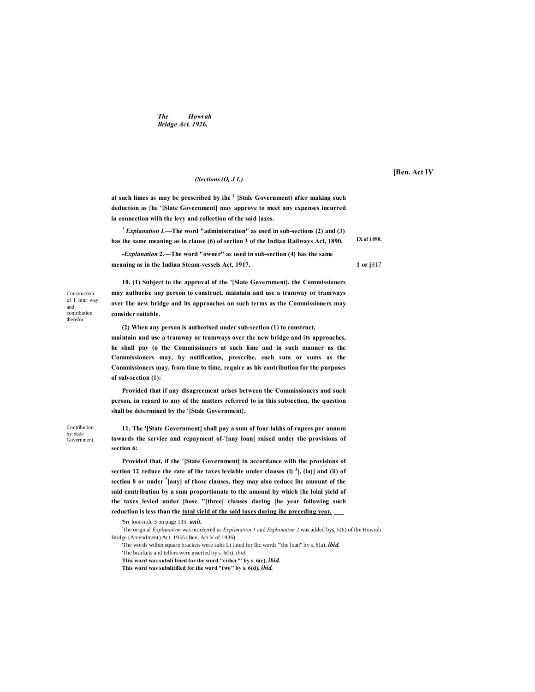*The Howrah Bridge Act. 1926.*

#### *(Sections iO, J I.)*

**at such limes as may be prescribed by ihe <sup>1</sup> [Stale Government) afier making such deduction as [he '[Slate Government] may approve to meet any expenses incurred in connection wilh the levy and collection of the said [axes.**

*<sup>1</sup> Explanation I.***—The word "administration" as used in sub-sections (2) and (3) has ihe same meaning as in clause (6) of section 3 of the Indian Railways Act, 1890.**

*-Explanation* **2.—The word "owner" as used in sub-section (4) has the same meaning as in the Indian Steam-vessels Act, 1917. 1 or j**917

Construction of I mm way and contribution therefor.

**10. (1) Subject to the approval of the '[Slate Government], the Commissioners may authorise any person to construct, maintain and use a tramway or tramways over Ihe new bridge and its approaches on such terms as the Commissioners may consider suitable.**

**(2) When any person is authorised under sub-section (1) to construct,**

**maintain and use a tramway or tramways over the new bridge and its approaches, he shall pay (o the Commissioners at such lime and in such manner as the Commissioners may, by notification, prescribe, such sum or sums as the Commissioners may, from time to time, require as his contribution for the purposes of sub-section (1):**

**Provided that if any disagreement arises between the Commissioners and such person, in regard to any of the matters referred to in this subsection, the question shall be determined by the '[Stale Government].**

Contribution by Stale Government.

**11. The '[State Government] shall pay a sum of four lakhs of rupees per annum towards the service and repayment of-'[any loan] raised under the provisions of section 6:**

**Provided that, if the '[State Government] in accordance wilh the provisions of**  section 12 reduce the rate of ihe taxes leviable under clauses (i)  $\left[ \cdot \right]$ , (ia)] and (ii) of **section 8 or under <sup>5</sup> [any] of those clauses, they may also reducc ihe amount of the said contribution by a sum proportionate to the amounl by which [he lolal yield of the taxes levied under [hose ''[three] clauses during [he year following such reduction is less than the total yield of the said laxes during ihc preceding year. \_\_\_**

'Srr fooi-nolc 3 on page 135. *unit.*

: The original *Explanation* was numbered as *Explanation 1* and *Explanation 2* was added bys. 5(6) of the Howrah Bridge (Amendment) Act. 1935 (Ben. Aci V of 1936).

'The words wilhin square brackets were subs Li luted for Ihc words "'the loan" by s. 6(a), *ibid.*

'The brackets and tellers were inserted by s. 6(b), *ibid.*

**Tliis word was subsli lined for ihe word "ciihcr"' by s. 6(c),** *ibid.*

**This word was subslitilled for ihe word "two" by s. 6(d),** *ibid.*

**[Ben. Act IV**

**IX of 1890.**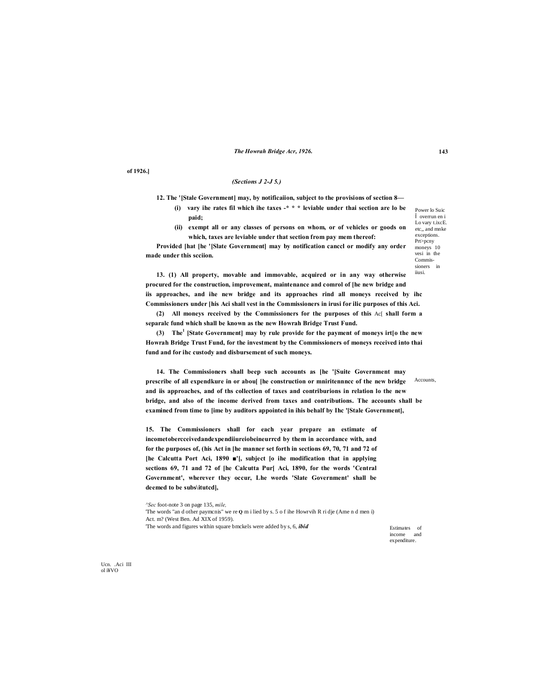The Howrah Bridge Acr, 1926.

of 1926.]

## (Sections  $J$  2- $J$  5.)

12. The '[Stale Government] may, by notification, subject to the provisions of section 8-

- (i) vary ihe rates fil which ihe taxes  $-$ \* \* \* leviable under thai section are lo be naid:
- $(ii)$ exempt all or any classes of persons on whom, or of vehicles or goods on which, taxes are leviable under that section from pay mem thereof:

Provided [hat [he '[Slate Government] may by notification cancel or modify any order made under this section.

Lo vary t.ixcE. etc., and mnke exceptions Prt>pcny moneys 10 vesi in the Commis sioners in iiusi.

Power lo Suic overrun en i

13. (1) All property, movable and immovable, acquired or in any way otherwise procured for the construction, improvement, maintenance and comrol of [he new bridge and iis approaches, and ihe new bridge and its approaches rind all moneys received by ihc Commissioners under [his Aci shall vest in the Commissioners in irusi for ilic purposes of this Aci.

(2) All moneys received by the Commissioners for the purposes of this Ac[ shall form a separalc fund which shall be known as the new Howrah Bridge Trust Fund.

(3) The<sup>1</sup> [State Government] may by rule provide for the payment of moneys irt[o the new Howrah Bridge Trust Fund, for the investment by the Commissioners of moneys received into thai fund and for ihc custody and disbursement of such moneys.

14. The Commissioners shall beep such accounts as [he '[Suite Government may prescribe of all expendkure in or aboul [he construction or mniritennncc of the new bridge Accounts, and iis approaches, and of ths collection of taxes and contriburions in relation lo the new bridge, and also of the income derived from taxes and contributions. The accounts shall be examined from time to [ime by auditors appointed in ihis behalf by Ihc '[Stale Government],

15. The Commissioners shall for each year prepare an estimate of incometobercceivedandexpendiiureiobeineurrcd by them in accordance with, and for the purposes of, (his Act in [he manner set forth in sections 69, 70, 71 and 72 of [he Calcutta Port Aci, 1890 "], subject [o ihe modification that in applying sections 69, 71 and 72 of [he Calcutta Pur] Aci, 1890, for the words 'Central Government', wherever they occur, Lhe words 'Slate Government' shall be deemed to be subs\ituted],

'Sec foot-note 3 on page 135, mile, The words "an d other paymenis" we re Q m i lied by s. 5 of ihe Howrvih R ri dje (Ame n d men i) Act. m? (West Ben. Ad XIX of 1959). The words and figures within square bmckels were added by s, 6, *ibid* 

Estimates of income and expenditure.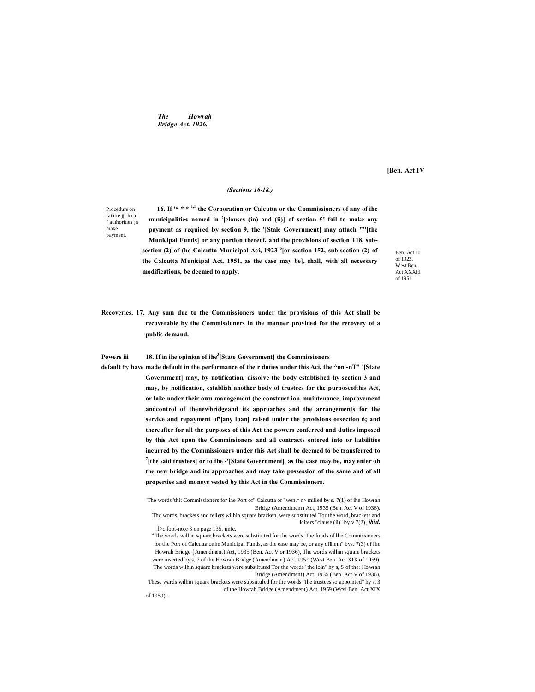*The Howrah Bridge Act. 1926.*

**[Ben. Act IV**

# *(Sections 16-18.)*

Procedure on failure jit local " authorities (n make payment.

**16. If '\* \* \* 1,1 the Corporation or Calcutta or the Commissioners of any of ihe municipalities named in ; [clauses (in) and (ii)] of section £! fail to make any payment as required by section 9, the '[Stale Government] may attach ""[the Municipal Funds] or any portion thereof, and the provisions of section 118, subsection (2) of (he Calcutta Municipal Aci, 1923 <sup>5</sup> [or section 152, sub-section (2) of the Calcutta Municipal Act, 1951, as the case may be], shall, with all necessary modifications, be deemed to apply.**

Ben. Act III of 1923. West Ben. Act XXXltl of 1951.

**Recoveries. 17. Any sum due to the Commissioners under the provisions of this Act shall be recoverable by the Commissioners in the manner provided for the recovery of a public demand.**

**Powers iii 18. If in ihe opinion of ihe<sup>3</sup> [State Government] the Commissioners**

**default** fry **have made default in the performance of their duties under this Aci, the ^on'-nT" '[State Government] may, by notification, dissolve the body established hy section 3 and may, by notification, establish another body of trustees for the purposeofthis Act, or lake under their own management (he construct ion, maintenance, improvement andcontrol of thenewbridgeand its approaches and the arrangements for the service and repayment of'[any loan] raised under the provisions orsection 6; and thereafter for all the purposes of this Act the powers conferred and duties imposed by this Act upon the Commissioners and all contracts entered into or liabilities incurred by the Commissioners under this Act shall be deemed to be transferred to**  <sup>7</sup> [the said trustees] or to the -'[State Government], as the case may be, may enter oh **the new bridge and its approaches and may take possession of the same and of all properties and moneys vested by this Act in the Commissioners.**

> 'The words 'thi: Commissioners for ihe Port of" Calcutta or" wen.\* r> milled by s. 7(1) of ihe Howrah Bridge (Amendment) Act, 1935 (Ben. Act V of 1936). : Thc words, brackets and tellers wilhin square bracken. were substituted Tor the word, brackets and

Iciters "clause (ii)" by v 7(2), *ibid.* '.l>c foot-note 3 on page 135, iinfc.

<sup>4</sup>The words wilhin square brackets were substituted for the words "Ihe funds of Ilie Commissioners for the Port of Calcutta onhe Municipal Funds, as the ease may be, or any ofihem" bys. 7(3) of lhe Howrah Bridge {Amendment) Act, 1935 (Ben. Act V or 1936), The words wilhin square brackets were inserted by s, 7 of the Howrah Bridge (Amendment) Aci. 1959 (West Ben. Act XIX of 1959), The words wilhin square brackets were substituted Tor the words "the loin" hy s, S of the: Howrah Bridge (Amendment) Act, 1935 (Ben. Act V of 1936),

These wards wilhin square brackets were subsiituled for the words "the trustees so appointed" hy s. 3 of the Howrah Bridge (Amendment) Act. 1959 (Wcsi Ben. Act XIX

of 1959).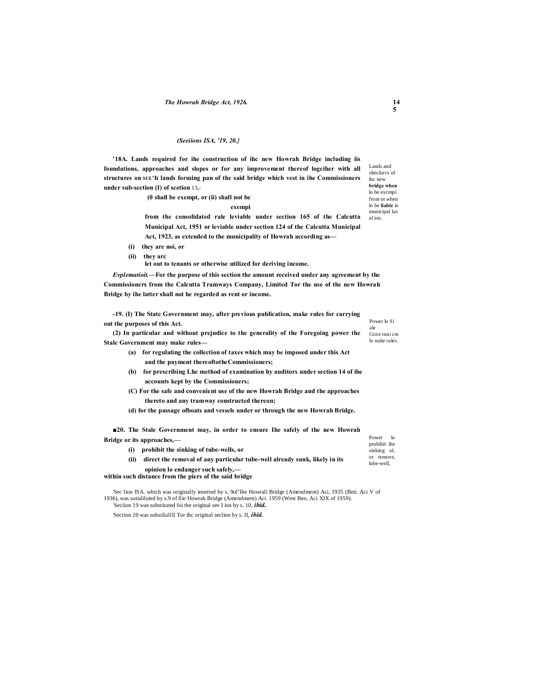#### *(Seeiions ISA, '19, 20.}*

**'18A. Lands required for ihe construction of ihc new Howrah Bridge including iis foundations, approaches and slopes or for any improvement thereof logciher with all structures on SUL'II lands forming pan of the said bridge which vest in ihe Commissioners under sub-section (I) of scetion** 13,-

**(0 shall be exempt, or (ii) shall not be** 

**exempi**

**from the consolidated rale leviable under section 165 of the Calcutta Municipal Act, 1951 or leviable under section 124 of the Calcutta Municipal Act, 1923, as extended to the municipality of Howrah according as—**

- **(i) they are noi, or**
- **(ii) they arc**

**let out to tenants or otherwise utilized for deriving income.**

*Evplematioit.***—For the purpose of this section the amount received under any agreement by the Commissioners from the Calcutta Tramways Company, Limited Tor the use of the new Howrah Bridge by ihe latter shall not he regarded as rent or income.**

**-19. (I) The State Government may, after previous publication, make rules for carrying out the purposes of this Act.**

**(2) In particular and without prejudice to the generality of the Foregoing power the Stale Government may make rules—**

- **(a) for regulating the collection of taxes which may be imposed under this Act and the payment thereoftotheCommissioners;**
- **(b) for prescribing Lhe method of examination hy auditors under section 14 of ihe accounts kept by the Commissioners;**
- **(C) For the safe and convenient use of the new Howrah Bridge and the approaches thereto and any tramway constructed thereon;**

**(d) for the passage ofboats and vessels under or through the new Howrah Bridge.**

Power lo prohibit ihe sinking of, or remove, lube-well, **■20. The Stale Government may, in order to ensure Ihe safely of the new Howrah Bridge or its approaches,— (i) prohibit the sinking of tube-wells, or (ii) direct the removal of any particular tube-well already sunk, likely in its opinion lo endanger such safely,—**

**within such distance from the piers of the said bridge**

'Sec lion ISA. which was originally inserted by s, 9ol"lhe Howrali Bridge (Amendment) Aci, 1935 (Beii. Aci V of 1936), was sutisliluied by s.9 of llie Howrah Bridge (Amendment) Aci. 1959 (West Ben, Aci XIX of 1959). ! Seciion 19 was substituted foi the original see I ion by s. 10, *ibid.*

'Section 20 was suhsiiluli'il Tor ihc original seclion by s. II, *ibid.*

Lands and slmclurcs of ihc new **bridge when**  lo be excmpi from or when lo be **liable** io municipal lax al ion.

Power lo Si ale Gove rnni cm lo nuke rules.

**14 5**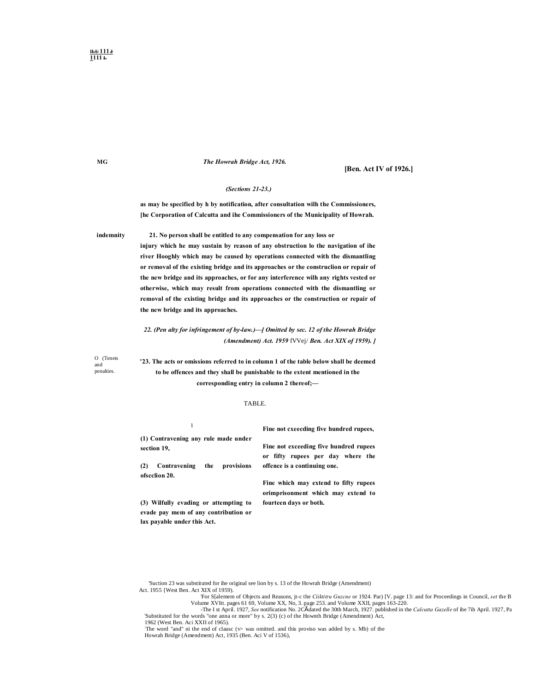# *The Howrah Bridge Act, 1926.*

# **[Ben. Act IV of 1926.]**

# *(Sections 21-23.)*

**as may be specified by h by notification, after consultation wilh the Commissioners, [he Corporation of Calcutta and ihe Commissioners of the Municipality of Howrah.**

**indemnity 21. No person shall be entitled to any compensation for any loss or**

**injury which he may sustain by reason of any obstruction lo the navigation of ihe river Hooghly which may be caused hy operations connected with the dismantling or removal of the existing bridge and its approaches or the construclion or repair of the new bridge and its approaches, or for any interference wilh any rights vested or otherwise, which may result from operations connected with the dismantling or removal of the existing bridge and its approaches or the construction or repair of the new bridge and its approaches.**

*22. (Pen alty for infringement of by-law.)—[ Omitted by sec. 12 of the Howrah Bridge (Amendment) Act. 1959* fVVej/ *Ben. Act XIX of 1959). ]*

O (Tenets and penalties.

**'23. The acts or omissions referred to in column 1 of the table below shall be deemed to be offences and they shall be punishable to the extent mentioned in the corresponding entry in column 2 thereof;—**

#### TABLE.

**(1) Contravening any rule made under section 19,**

1

**(2) Contravening the provisions** 

**ofscclion 20.**

**(3) Wilfully evading or attempting to evade pay mem of any contribution or lax payable under this Act.**

**Fine not cxeecding five hundred rupees,**

**Fine not exceeding five hundred rupees or fifty rupees per day where the offence is a continuing one.**

**Fine which may extend to fifty rupees orimprisonment which may extend to fourteen days or both.**

'Suction 23 was substituted for ihe original see lion by s. 13 of the Howrah Bridge (Amendment) Act. 1955 {West Ben. Act XIX of 1959).

For S[alemem of Objects and Reasons, jt-c the *Ciiktitru Guzcne* or 1924. Par) [V. page 13: and for Proceedings in Council, set the B Volume XVItt. pages 61 69, Volume XX, No, 3. page 253. and Volume XXII, pages 163-220.<br>T

'Substituted for the words "one anna or more" by s. 2(3) (c) of the Hownth Bridge (Amendment) Act, 1962 (West Ben. Aci XXII of 1965). :

The word "and" ni the end of clausc (v> was omitted. and this proviso was added by s. Mb) of the Howrah Bridge (Amendment) Act, 1935 (Ben. Aci V of 1536),

**MG**